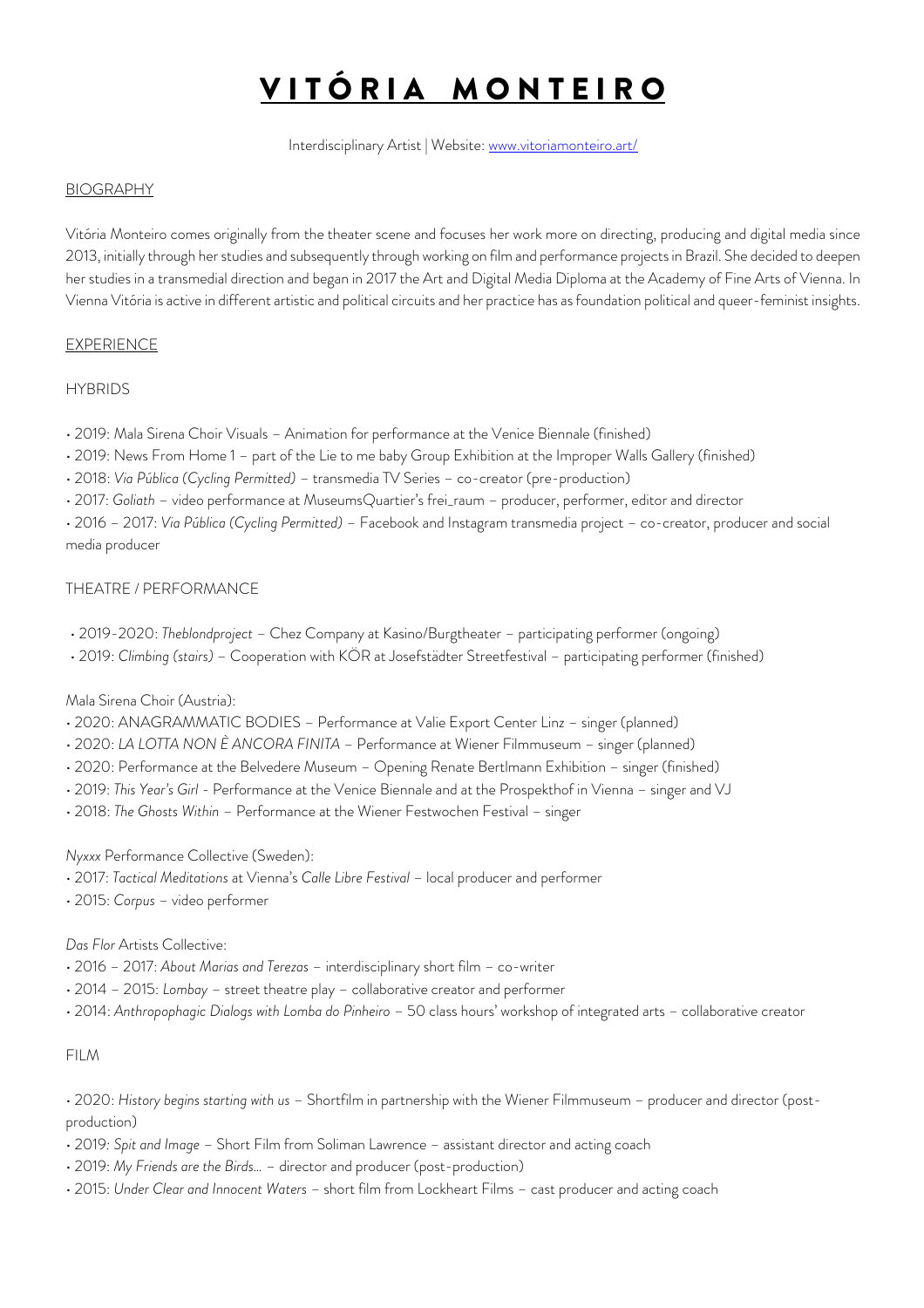# VITÓRIA MONTEIRO

Interdisciplinary Artist | Website: www.vitoriamonteiro.art/

### BIOGRAPHY

Vitória Monteiro comes originally from the theater scene and focuses her work more on directing, producing and digital media since 2013, initially through her studies and subsequently through working on film and performance projects in Brazil. She decided to deepen her studies in a transmedial direction and began in 2017 the Art and Digital Media Diploma at the Academy of Fine Arts of Vienna. In Vienna Vitória is active in different artistic and political circuits and her practice has as foundation political and queer-feminist insights.

## EXPERIENCE

#### **HYBRIDS**

- 2019: Mala Sirena Choir Visuals Animation for performance at the Venice Biennale (finished)
- 2019: News From Home 1 part of the Lie to me baby Group Exhibition at the Improper Walls Gallery (finished)
- 2018: *Via Pública (Cycling Permitted)*  transmedia TV Series co-creator (pre-production)
- 2017: *Goliath* video performance at MuseumsQuartier's frei\_raum producer, performer, editor and director

• 2016 – 2017: *Via Pública (Cycling Permitted)* – Facebook and Instagram transmedia project – co-creator, producer and social media producer

#### THEATRE / PERFORMANCE

- 2019-2020: *Theblondproject* Chez Company at Kasino/Burgtheater participating performer (ongoing)
- 2019: *Climbing (stairs)* Cooperation with KÖR at Josefstädter Streetfestival participating performer (finished)

#### Mala Sirena Choir (Austria):

- 2020: ANAGRAMMATIC BODIES Performance at Valie Export Center Linz singer (planned)
- 2020: *LA LOTTA NON È ANCORA FINITA* Performance at Wiener Filmmuseum singer (planned)
- 2020: Performance at the Belvedere Museum Opening Renate Bertlmann Exhibition singer (finished)
- 2019: *This Year's Girl* Performance at the Venice Biennale and at the Prospekthof in Vienna singer and VJ
- 2018: *The Ghosts Within* Performance at the Wiener Festwochen Festival singer

## *Nyxxx* Performance Collective (Sweden):

- 2017: *Tactical Meditations* at Vienna's *Calle Libre Festival* local producer and performer
- 2015: *Corpus* video performer

## *Das Flor* Artists Collective:

- 2016 2017: *About Marias and Terezas* interdisciplinary short film co-writer
- 2014 2015: *Lombay* street theatre play collaborative creator and performer
- 2014: *Anthropophagic Dialogs with Lomba do Pinheiro* 50 class hours' workshop of integrated arts collaborative creator

#### FILM

- 2020: *History begins starting with us*  Shortfilm in partnership with the Wiener Filmmuseum producer and director (postproduction)
- 2019*: Spit and Image* Short Film from Soliman Lawrence assistant director and acting coach
- 2019: *My Friends are the Birds…* director and producer (post-production)
- 2015: *Under Clear and Innocent Waters* short film from Lockheart Films cast producer and acting coach